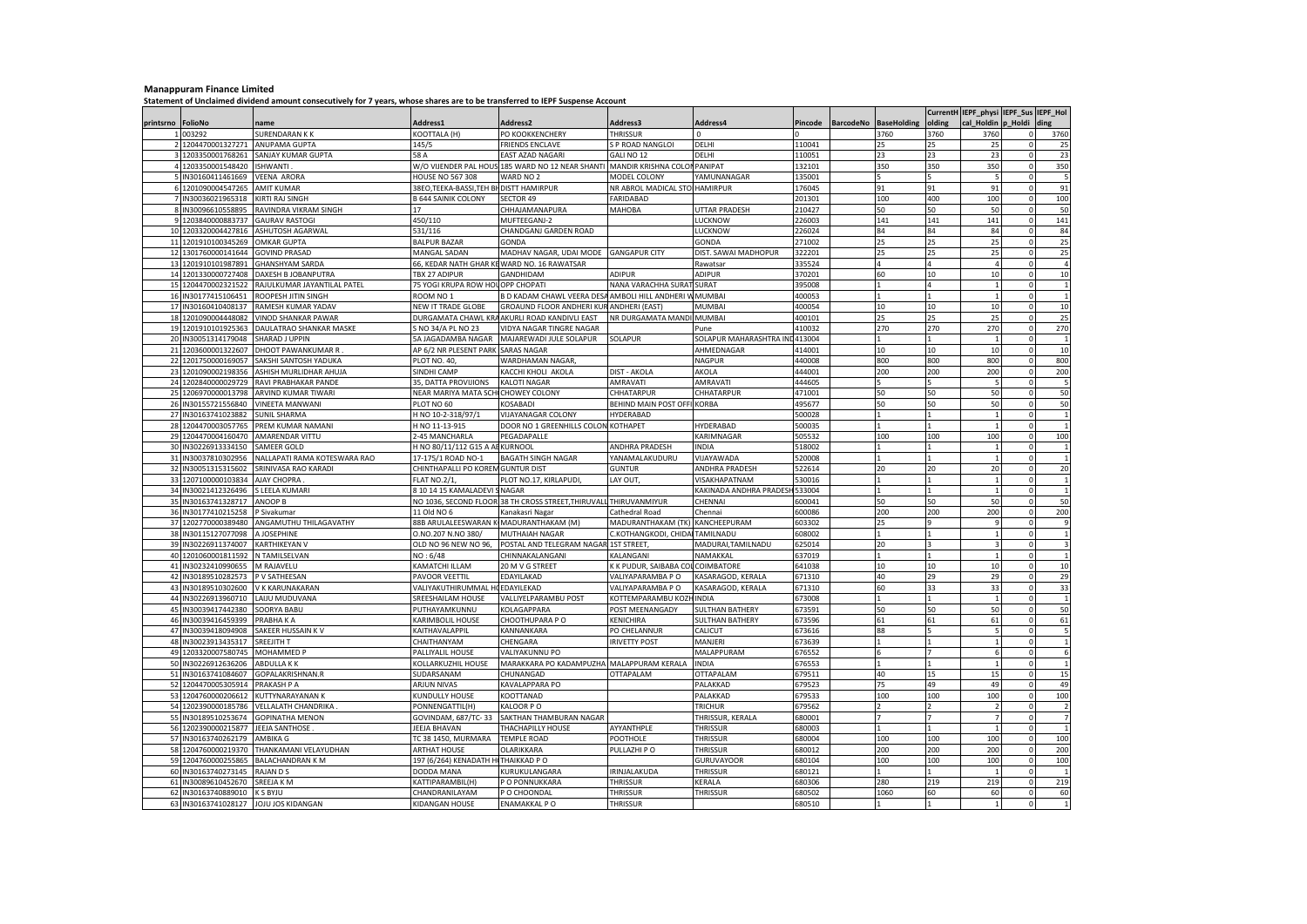## **Manappuram Finance Limited**

**Statement of Unclaimed dividend amount consecutively for 7 years, whose shares are to be transferred to IEPF Suspense Account**

|           |                     |                              |                                     |                                                                               |                                 |                         |         |                  |                    |                  | CurrentH IEPF_physi IEPF_Sus IEPF_Hol |             |                |
|-----------|---------------------|------------------------------|-------------------------------------|-------------------------------------------------------------------------------|---------------------------------|-------------------------|---------|------------------|--------------------|------------------|---------------------------------------|-------------|----------------|
| printsrno | FolioNo             | name                         | Address1                            | <b>Address2</b>                                                               | Address3                        | Address4                | Pincode | <b>BarcodeNo</b> | <b>BaseHolding</b> | olding           | cal Holdin                            | p Holdi     | ding           |
|           | 003292              | <b>SURENDARAN K K</b>        | KOOTTALA (H)                        | PO KOOKKENCHERY                                                               | THRISSUR                        | <sup>n</sup>            |         |                  | 3760               | 3760             | 3760                                  | $\Omega$    | 3760           |
|           | 2 1204470001327271  | ANUPAMA GUPTA                | 145/5                               | <b>FRIENDS ENCLAVE</b>                                                        | S P ROAD NANGLOI                | DELHI                   | 110041  |                  | 25                 | 25               | 25                                    | $\circ$     | 25             |
|           | 1203350001768261    | SANJAY KUMAR GUPTA           | 58 A                                | EAST AZAD NAGARI                                                              | GALI NO 12                      | DELHI                   | 110051  |                  | 23                 | 23               | 23                                    | 0           | 23             |
|           | 4 1203350001548420  | SHWANTI                      |                                     | W/O VIJENDER PAL HOUS 185 WARD NO 12 NEAR SHANTI MANDIR KRISHNA COLON PANIPAT |                                 |                         | 132101  |                  | 350                | 350              | 350                                   | $\circ$     | 350            |
|           | 5 IN30160411461669  | VEENA ARORA                  | <b>HOUSE NO 567 308</b>             | WARD NO 2                                                                     | MODEL COLONY                    | YAMUNANAGAR             | 135001  |                  |                    |                  | <b>D</b>                              | $\circ$     | 5              |
|           | 6 1201090004547265  | AMIT KUMAR                   | 38EO,TEEKA-BASSI,TEH B              | <b>DISTT HAMIRPUR</b>                                                         | NR ABROL MADICAL STOL HAMIRPUR  |                         | 176045  |                  | 91                 | 91               | 91                                    | $\Omega$    | 91             |
|           | IN30036021965318    | KIRTI RAJ SINGH              | <b>3 644 SAINIK COLONY</b>          | SECTOR 49                                                                     | FARIDABAD                       |                         | 201301  |                  | 100                | 400              | 100                                   | $\circ$     | 100            |
|           | 8 IN30096610558895  | RAVINDRA VIKRAM SINGH        | 17                                  | CHHAJAMANAPURA                                                                | MAHOBA                          | <b>JTTAR PRADESH</b>    | 210427  |                  | 50                 | 50               | 50                                    | $\mathbf 0$ | 50             |
|           | 9 1203840000883737  | <b>GAURAV RASTOGI</b>        | 450/110                             | MUFTEEGANJ-2                                                                  |                                 | LUCKNOW                 | 226003  |                  | 141                | 141              | 141                                   | $\Omega$    | 141            |
|           | 10 1203320004427816 | ASHUTOSH AGARWAL             | 531/116                             | CHANDGANJ GARDEN ROAD                                                         |                                 | LUCKNOW                 | 226024  |                  | 84                 | 84               | 84                                    | $\mathbf 0$ | 84             |
|           | 11 1201910100345269 | <b>OMKAR GUPTA</b>           | <b>BALPUR BAZAR</b>                 | GONDA                                                                         |                                 | GONDA                   | 271002  |                  | 25                 | 25               | 25                                    | $\circ$     | 25             |
|           | 12 1301760000141644 | <b>GOVIND PRASAD</b>         | <b>MANGAL SADAN</b>                 | MADHAV NAGAR, UDAI MODE                                                       | <b>GANGAPUR CITY</b>            | DIST. SAWAI MADHOPUR    | 322201  |                  | 25                 | 25               | 25                                    | $\circ$     | 25             |
|           | 13 1201910101987891 | <b>GHANSHYAM SARDA</b>       | 66, KEDAR NATH GHAR K               | WARD NO. 16 RAWATSAR                                                          |                                 | Rawatsar                | 335524  |                  | $\overline{A}$     |                  |                                       | $\Omega$    | $\Delta$       |
|           | 14 1201330000727408 | DAXESH B JOBANPUTRA          | TBX 27 ADIPUR                       | GANDHIDAM                                                                     | <b>ADIPUR</b>                   | ADIPUR                  | 370201  |                  | 60                 | 10               | 10                                    | $\circ$     | 10             |
|           | 15 1204470002321522 | RAJULKUMAR JAYANTILAL PATEL  | 75 YOGI KRUPA ROW HO                | OPP CHOPATI                                                                   | NANA VARACHHA SURAT             | SURAT                   | 395008  |                  |                    |                  |                                       | $\mathbf 0$ | $\overline{1}$ |
|           | 16 IN30177415106451 | ROOPESH JITIN SINGH          | ROOM NO 1                           | <b>3 D KADAM CHAWL VEERA DES</b>                                              | AMBOLI HILL ANDHERI             | <b>MUMBAI</b>           | 400053  |                  |                    |                  |                                       | $\Omega$    |                |
| 17        | IN30160410408137    | RAMESH KUMAR YADAV           | NEW IT TRADE GLOBE                  | GROAUND FLOOR ANDHERI KU                                                      | ANDHERI (EAST)                  | MUMBAI                  | 400054  |                  | 10                 | 10               | 10                                    | $\Omega$    | 10             |
|           | 18 1201090004448082 | <b>VINOD SHANKAR PAWAR</b>   |                                     | DURGAMATA CHAWL KRA AKURLI ROAD KANDIVLI EAST                                 | NR DURGAMATA MANDI MUMBAI       |                         | 400101  |                  | 25                 | 25               | 25                                    | $\circ$     | 25             |
|           | 19 1201910101925363 | DAULATRAO SHANKAR MASKE      | S NO 34/A PL NO 23                  | VIDYA NAGAR TINGRE NAGAR                                                      |                                 | Pune                    | 410032  |                  | 270                | 270              | 270                                   | $\mathbf 0$ | 270            |
| 20        | IN30051314179048    | <b>SHARAD J UPPIN</b>        | 5A JAGADAMBA NAGAR                  | MAJAREWADI JULE SOLAPUR                                                       | SOLAPUR                         | SOLAPUR MAHARASHTRA IN  | 413004  |                  |                    |                  |                                       | $\Omega$    |                |
|           | 21 1203600001322607 | DHOOT PAWANKUMAR R           | AP 6/2 NR PLESENT PARK              | <b>SARAS NAGAR</b>                                                            |                                 | AHMEDNAGAR              | 414001  |                  | 10                 | 10 <sub>10</sub> | 10                                    | $\Omega$    | 10             |
|           | 22 1201750000169057 | SAKSHI SANTOSH YADUKA        | PLOT NO. 40                         | WARDHAMAN NAGAR                                                               |                                 | NAGPUR                  | 440008  |                  | 800                | 800              | 800                                   | $\mathbf 0$ | 800            |
|           | 23 1201090002198356 | ASHISH MURLIDHAR AHUJA       | SINDHI CAMP                         | KACCHI KHOLI AKOLA                                                            | <b>DIST - AKOLA</b>             | AKOLA                   | 444001  |                  | 200                | 200              | 200                                   | $\Omega$    | 200            |
|           | 24 1202840000029729 | RAVI PRABHAKAR PANDE         | 35. DATTA PROVIJIONS                | <b>KALOTI NAGAR</b>                                                           | AMRAVATI                        | AMRAVATI                | 444605  |                  |                    |                  | <b>D</b>                              | $\Omega$    | 5              |
|           | 25 1206970000013798 | ARVIND KUMAR TIWARI          | NEAR MARIYA MATA SCHI CHOWEY COLONY |                                                                               | CHHATARPUR                      | CHHATARPUR              | 171001  |                  | 50                 | 50               | 50                                    | $\circ$     | 50             |
| 26        | IN30155721556840    | <b>VINEETA MANWANI</b>       | PLOT NO 60                          | <b>KOSABADI</b>                                                               | BEHIND MAIN POST OFFI KORBA     |                         | 495677  |                  | 50                 | 50               | 50                                    | $\circ$     | 50             |
| 27        | IN30163741023882    | SUNIL SHARMA                 | H NO 10-2-318/97/1                  | <b>VIJAYANAGAR COLONY</b>                                                     | HYDERABAD                       |                         | 500028  |                  |                    |                  |                                       | $\Omega$    |                |
|           | 28 1204470003057765 | PREM KUMAR NAMANI            | H NO 11-13-915                      | DOOR NO 1 GREENHILLS COLON KOTHAPET                                           |                                 | HYDERABAD               | 500035  |                  |                    |                  |                                       | $\Omega$    |                |
|           | 29 1204470004160470 | AMARENDAR VITTU              | 2-45 MANCHARLA                      | PEGADAPALLE                                                                   |                                 | KARIMNAGAR              | 505532  |                  | 100                | 100              | 100                                   | $\mathbf 0$ | 100            |
|           | 30 IN30226913334150 | SAMEER GOLD                  | H NO 80/11/112 G15 A AE KURNOOL     |                                                                               | ANDHRA PRADESH                  | <b>INDIA</b>            | 518002  |                  |                    |                  |                                       | $\Omega$    |                |
|           | 31 IN30037810302956 | NALLAPATI RAMA KOTESWARA RAO | 17-175/1 ROAD NO-1                  | <b>BAGATH SINGH NAGAR</b>                                                     | YANAMALAKUDURU                  | VIJAYAWADA              | 520008  |                  |                    |                  |                                       | $\circ$     | $\overline{1}$ |
|           | 32 IN30051315315602 | SRINIVASA RAO KARADI         | CHINTHAPALLI PO KOREM GUNTUR DIST   |                                                                               | <b>GUNTUR</b>                   | ANDHRA PRADESH          | 522614  |                  | 20                 | 20               | 20                                    | $\circ$     | 20             |
| 33        | 1207100000103834    | <b>AJAY CHOPRA</b>           | <b>FLAT NO.2/1,</b>                 | PLOT NO.17, KIRLAPUDI,                                                        | LAY OUT                         | <b>VISAKHAPATNAM</b>    | 530016  |                  |                    |                  |                                       | $\circ$     |                |
| 34        | IN30021412326496    | S LEELA KUMARI               | 3101415 KAMALADEVI                  | <b>NAGAR</b>                                                                  |                                 | KAKINADA ANDHRA PRADESI | 533004  |                  |                    |                  |                                       | $\Omega$    |                |
| 35        | IN30163741328717    | ANOOP B                      |                                     | VO 1036, SECOND FLOOR 38 TH CROSS STREET, THIRUVALL THIRUVANMIYUR             |                                 | CHENNAI                 | 600041  |                  | 50                 | 50               | 50                                    | $\Omega$    | 50             |
| 36        | IN30177410215258    | P Sivakumar                  | 11 Old NO 6                         | Kanakasri Nagar                                                               | Cathedral Road                  | Chennai                 | 600086  |                  | 200                | 200              | 200                                   | $\Omega$    | 200            |
|           | 37 1202770000389480 | ANGAMUTHU THILAGAVATHY       | 88B ARULALEESWARAN                  | MADURANTHAKAM (M)                                                             | MADURANTHAKAM (TK)              | KANCHEEPURAM            | 603302  |                  | $\overline{25}$    |                  |                                       | $\Omega$    | $\mathbf{q}$   |
|           | 38 IN30115127077098 | A JOSEPHINE                  | 0.NO.207 N.NO 380/                  | MUTHAIAH NAGAR                                                                | C.KOTHANGKODI, CHIDAI TAMILNADU |                         | 608002  |                  |                    |                  |                                       | $\circ$     | $\overline{1}$ |
|           | 39 IN30226911374007 | KARTHIKEYAN V                | OLD NO 96 NEW NO 96,                | POSTAL AND TELEGRAM NAGAR 1ST STREET                                          |                                 | MADURAI, TAMILNADU      | 625014  |                  | 20                 |                  |                                       | $\circ$     |                |
|           | 40 1201060001811592 | N TAMILSELVAN                | NO: 6/48                            | CHINNAKALANGANI                                                               | KALANGANI                       | NAMAKKAL                | 637019  |                  |                    |                  |                                       | $\Omega$    |                |
| 41        | IN30232410990655    | M RAJAVELU                   | KAMATCHI ILLAM                      | 20 M V G STREET                                                               | K K PUDUR, SAIBABA CO           | COIMBATORE              | 641038  |                  | 10                 | 10               | 10                                    | $\Omega$    | 10             |
|           | 42 IN30189510282573 | P V SATHEESAN                | PAVOOR VEETTIL                      | EDAYILAKAD                                                                    | VALIYAPARAMBA P O               | KASARAGOD, KERALA       | 671310  |                  | 40                 | 29               | 29                                    | $\circ$     | 29             |
| 43        | IN30189510302600    | V K KARUNAKARAN              | VALIYAKUTHIRUMMAL                   | <b>ICEDAYILEKAD</b>                                                           | VALIYAPARAMBA P O               | KASARAGOD, KERALA       | 671310  |                  | 60                 | 33               | 33                                    | $\circ$     | 33             |
|           | 44 IN30226913960710 | LAIJU MUDUVANA               | SREESHAILAM HOUSE                   | VALLIYELPARAMBU POST                                                          | KOTTEMPARAMBU KOZH              | <b>INDIA</b>            | 673008  |                  |                    |                  |                                       | $\Omega$    |                |
|           | 45 IN30039417442380 | SOORYA BABU                  | PUTHAYAMKUNNU                       | KOLAGAPPARA                                                                   | POST MEENANGADY                 | <b>SULTHAN BATHERY</b>  | 673591  |                  | 50                 | 50               | 50                                    | $\circ$     | 50             |
|           | 46 IN30039416459399 | PRABHA K A                   | KARIMBOLIL HOUSE                    | CHOOTHUPARA PO                                                                | <b>KENICHIRA</b>                | <b>SULTHAN BATHERY</b>  | 673596  |                  | 61                 | 61               | 61                                    | $\mathbf 0$ | 61             |
| 47        | IN30039418094908    | SAKEER HUSSAIN K V           | KAITHAVALAPPIL                      | KANNANKARA                                                                    | PO CHELANNUR                    | CALICUT                 | 673616  |                  | 88                 |                  |                                       | $\Omega$    |                |
| 48        | N30023913435317     | SREEJITH T                   | CHAITHANYAM                         | CHENGARA                                                                      | <b>IRIVETTY POST</b>            | <b>MANJERI</b>          | 673639  |                  |                    |                  |                                       | $\Omega$    |                |
|           | 49 1203320007580745 | MOHAMMED P                   | PALLIYALIL HOUSE                    | VALIYAKUNNU PO                                                                |                                 | MALAPPURAM              | 676552  |                  |                    |                  |                                       | $\circ$     |                |
|           | 50 IN30226912636206 | ABDULLA K K                  | KOLLARKUZHIL HOUSE                  | MARAKKARA PO KADAMPUZHA MALAPPURAM KERALA                                     |                                 | INDIA                   | 676553  |                  |                    |                  |                                       | $\circ$     |                |
| 51        | IN30163741084607    | GOPALAKRISHNAN.R             | SUDARSANAM                          | CHUNANGAD                                                                     | <b>OTTAPALAM</b>                | OTTAPALAM               | 679511  |                  | 40                 | 15               | 15                                    | $\Omega$    | 15             |
|           | 52 1204470005305914 | PRAKASH P A                  | ARJUN NIVAS                         | KAVALAPPARA PO                                                                |                                 | PALAKKAD                | 579523  |                  | 75                 | 49               | 49                                    | $\Omega$    | 49             |
|           | 53 1204760000206612 | KUTTYNARAYANAN K             | KUNDULLY HOUSE                      | KOOTTANAD                                                                     |                                 | PALAKKAD                | 679533  |                  | 100                | 100              | 100                                   | $\mathbf 0$ | 100            |
|           | 54 1202390000185786 | VELLALATH CHANDRIKA          | PONNENGATTIL(H)                     | KALOOR PO                                                                     |                                 | TRICHUR                 | 679562  |                  |                    |                  |                                       | $\Omega$    |                |
| 55        | N30189510253674     | <b>GOPINATHA MENON</b>       | <b>GOVINDAM, 687/TC-33</b>          | SAKTHAN THAMBURAN NAGAR                                                       |                                 | THRISSUR, KERALA        | 680001  |                  |                    |                  |                                       | $\Omega$    |                |
|           | 56 1202390000215877 | JEEJA SANTHOSE               | <b>JEEJA BHAVAN</b>                 | THACHAPILLY HOUSE                                                             | AYYANTHPLE                      | <b>THRISSUR</b>         | 680003  |                  |                    |                  |                                       | $\circ$     |                |
| 57        | IN30163740262179    | AMBIKA G                     | TC 38 1450, MURMARA                 | <b>TEMPLE ROAD</b>                                                            | POOTHOLE                        | <b>THRISSUR</b>         | 680004  |                  | 100                | 100              | 100                                   | $\circ$     | 100            |
|           | 58 1204760000219370 | THANKAMANI VELAYUDHAN        | <b>ARTHAT HOUSE</b>                 | OLARIKKARA                                                                    | PULLAZHI PO                     | THRISSUR                | 680012  |                  | 200                | 200              | 200                                   | $\Omega$    | 200            |
|           | 59 1204760000255865 | <b>BALACHANDRAN K M</b>      | 197 (6/264) KENADATH HI THAIKKAD PO |                                                                               |                                 | <b>GURUVAYOOR</b>       | 580104  |                  | 100                | 100              | 100                                   | $\Omega$    | 100            |
| 60        | IN30163740273145    | RAJAN D S                    | DODDA MANA                          | KURUKULANGARA                                                                 | IRINJALAKUDA                    | <b>THRISSUR</b>         | 680121  |                  |                    |                  |                                       | $\mathbf 0$ |                |
| 61        | N30089610452670     | SREEJA K M                   | KATTIPARAMBIL(H)                    | P O PONNUKKARA                                                                | <b>THRISSUR</b>                 | KERALA                  | 680306  |                  | 280                | 219              | 219                                   | $\Omega$    | 219            |
| 62        | IN30163740889010    | K S BYJU                     | CHANDRANILAYAM                      | O CHOONDAL                                                                    | <b>THRISSUR</b>                 | <b>THRISSUR</b>         | 680502  |                  | 1060               | 60               | 60                                    | $\Omega$    | 60             |
|           | 63 IN30163741028127 | JOJU JOS KIDANGAN            | KIDANGAN HOUSE                      | ENAMAKKAL P O                                                                 | <b>THRISSUR</b>                 |                         | 680510  |                  |                    |                  |                                       | $\Omega$    |                |
|           |                     |                              |                                     |                                                                               |                                 |                         |         |                  |                    |                  |                                       |             |                |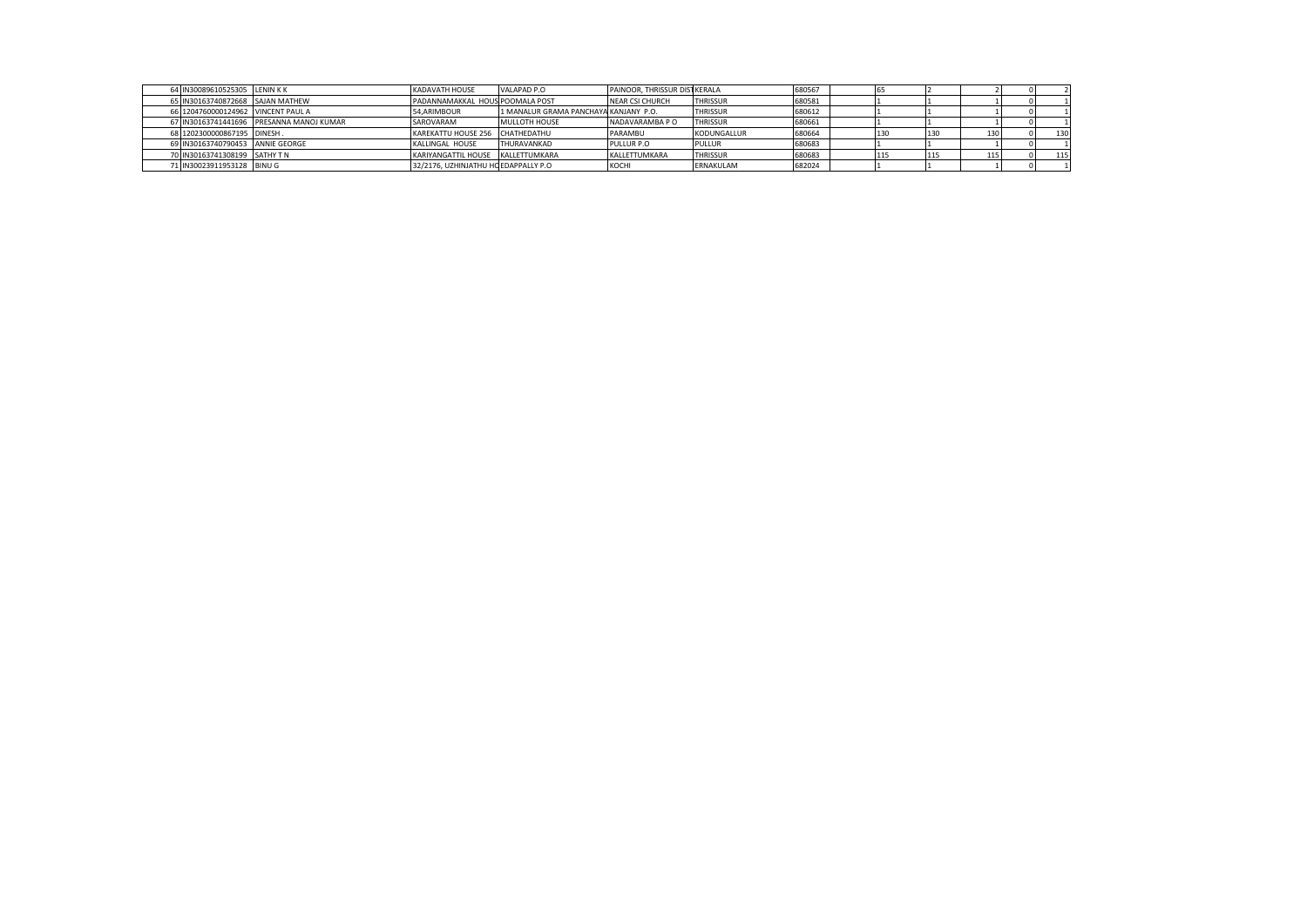|  | 64 IN30089610525305 LENIN KK       |                                          | <b>KADAVATH HOUSE</b>                 | VALAPAD P.O                           | PAINOOR, THRISSUR DISTIKERALA |                 | 680567 |  |     |     |     |
|--|------------------------------------|------------------------------------------|---------------------------------------|---------------------------------------|-------------------------------|-----------------|--------|--|-----|-----|-----|
|  | 65 IN30163740872668 SAJAN MATHEW   |                                          | PADANNAMAKKAL HOUS POOMALA POST       |                                       | <b>NEAR CSI CHURCH</b>        | <b>THRISSUR</b> | 680581 |  |     |     |     |
|  | 66 1204760000124962 VINCENT PAUL A |                                          | 54.ARIMBOUR                           | 1 MANALUR GRAMA PANCHAYA KANJANY P.O. |                               | <b>THRISSUR</b> | 680612 |  |     |     |     |
|  |                                    | 67 IN30163741441696 PRESANNA MANOJ KUMAR | SAROVARAM                             | MULLOTH HOUSE                         | NADAVARAMBA P O               | <b>THRISSUR</b> | 680661 |  |     |     |     |
|  | 68 1202300000867195 DINESH.        |                                          | KAREKATTU HOUSE 256 CHATHEDATHU       |                                       | PARAMBU                       | KODUNGALLUR     | 680664 |  |     | 130 | 130 |
|  | 69 IN30163740790453 ANNIE GEORGE   |                                          | KALLINGAL HOUSE                       | THURAVANKAD                           | PULLUR P.O                    | <b>PULLUR</b>   | 680683 |  |     |     |     |
|  | 70 IN30163741308199 SATHY TN       |                                          | KARIYANGATTIL HOUSE KALLETTUMKARA     |                                       | KALLETTUMKARA                 | <b>THRISSUR</b> | 680683 |  | --- | 115 | 115 |
|  | 71 IN30023911953128 BINU G         |                                          | 32/2176. UZHINJATHU HC EDAPPALLY P.O. |                                       | KOCHI                         | ERNAKULAM       | 682024 |  |     |     |     |